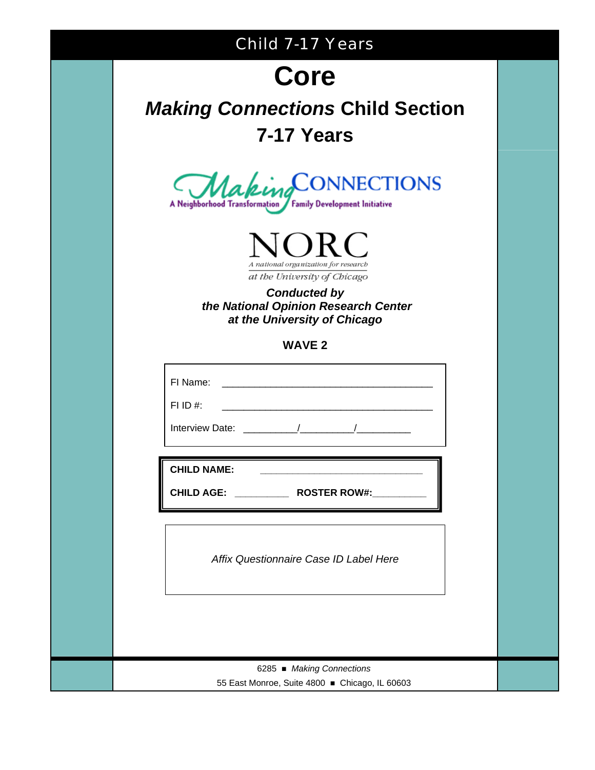| <b>Child 7-17 Years</b>                                                                                                                                             |  |
|---------------------------------------------------------------------------------------------------------------------------------------------------------------------|--|
| Core                                                                                                                                                                |  |
| <b>Making Connections Child Section</b>                                                                                                                             |  |
| 7-17 Years                                                                                                                                                          |  |
| MakingCONNECTIONS<br>A Neighborhood Transformation / Family Development Initiative<br>$O$ RC                                                                        |  |
| A national organization for research<br>at the University of Chicago<br><b>Conducted by</b><br>the National Opinion Research Center<br>at the University of Chicago |  |
| <b>WAVE 2</b>                                                                                                                                                       |  |
| FI Name:<br>FI ID #:                                                                                                                                                |  |
| <b>CHILD NAME:</b><br>CHILD AGE: ROSTER ROW#:                                                                                                                       |  |
| Affix Questionnaire Case ID Label Here                                                                                                                              |  |
|                                                                                                                                                                     |  |
| 6285 ■ Making Connections<br>55 East Monroe, Suite 4800 Chicago, IL 60603                                                                                           |  |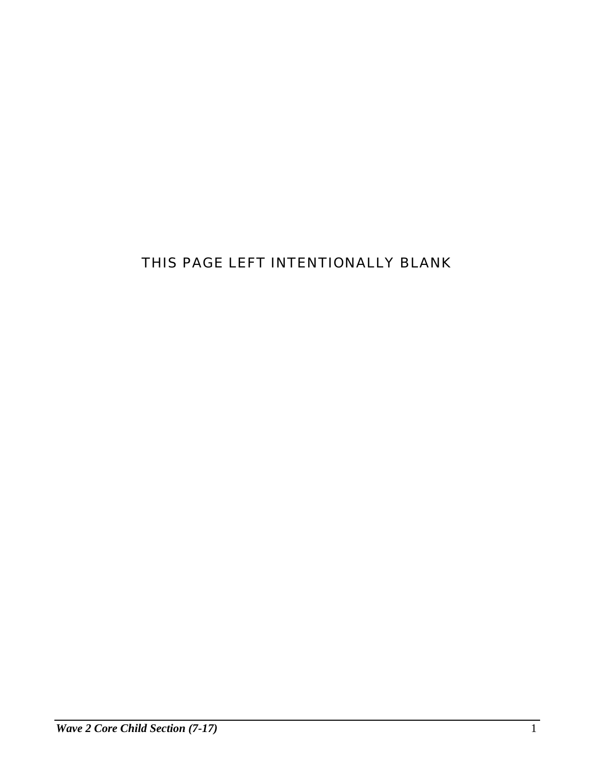# THIS PAGE LEFT INTENTIONALLY BLANK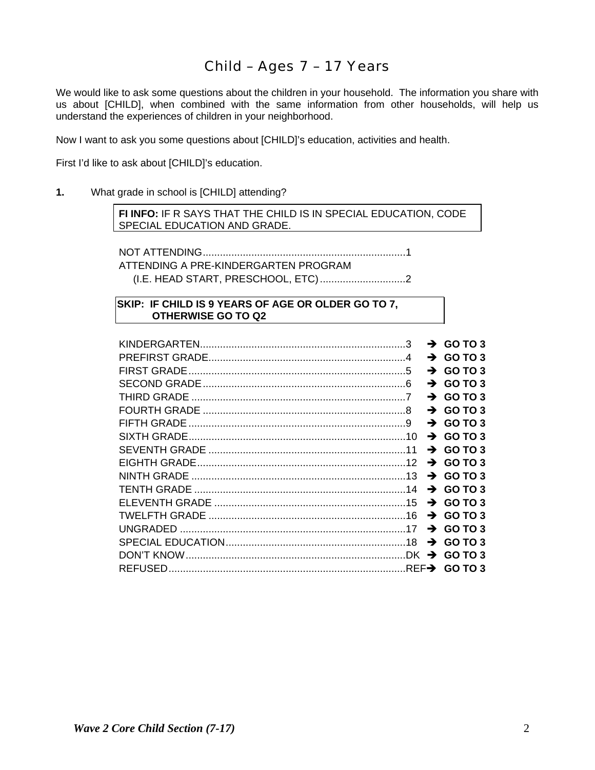## Child – Ages 7 – 17 Years

We would like to ask some questions about the children in your household. The information you share with us about [CHILD], when combined with the same information from other households, will help us understand the experiences of children in your neighborhood.

Now I want to ask you some questions about [CHILD]'s education, activities and health.

First I'd like to ask about [CHILD]'s education.

#### **1.** What grade in school is [CHILD] attending?

**FI INFO:** IF R SAYS THAT THE CHILD IS IN SPECIAL EDUCATION, CODE SPECIAL EDUCATION AND GRADE.

NOT ATTENDING.......................................................................1 ATTENDING A PRE-KINDERGARTEN PROGRAM (I.E. HEAD START, PRESCHOOL, ETC) ..............................2

#### **SKIP: IF CHILD IS 9 YEARS OF AGE OR OLDER GO TO 7, OTHERWISE GO TO Q2**

| $\rightarrow$ GO TO 3                    |
|------------------------------------------|
| $\rightarrow$ GO TO 3                    |
| GO TO 3                                  |
| GO TO 3                                  |
| GO TO 3                                  |
| GO TO 3                                  |
| $\rightarrow$ GO TO 3                    |
| $\rightarrow$ GO TO 3                    |
|                                          |
|                                          |
|                                          |
|                                          |
|                                          |
| $\rightarrow$ GO TO 3                    |
|                                          |
|                                          |
|                                          |
|                                          |
| $\rightarrow$<br>→<br>→<br>$\rightarrow$ |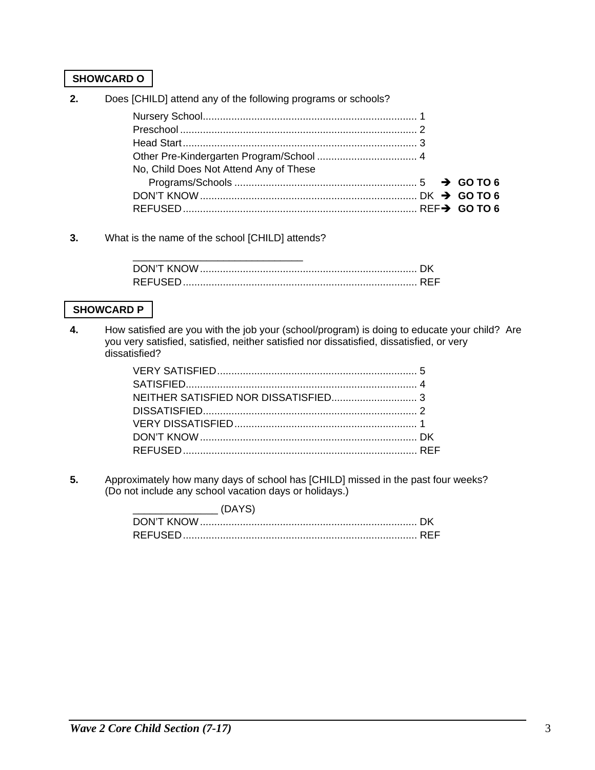## **SHOWCARD O**

| 2. | Does [CHILD] attend any of the following programs or schools? |
|----|---------------------------------------------------------------|
|    |                                                               |
|    |                                                               |
|    |                                                               |
|    |                                                               |
|    | No, Child Does Not Attend Any of These                        |
|    |                                                               |
|    |                                                               |
|    |                                                               |

 $3.$ What is the name of the school [CHILD] attends?

## **SHOWCARD P**

How satisfied are you with the job your (school/program) is doing to educate your child? Are 4. you very satisfied, satisfied, neither satisfied nor dissatisfied, dissatisfied, or very dissatisfied?

5. Approximately how many days of school has [CHILD] missed in the past four weeks? (Do not include any school vacation days or holidays.)

| (DAYS) |  |
|--------|--|
|        |  |
|        |  |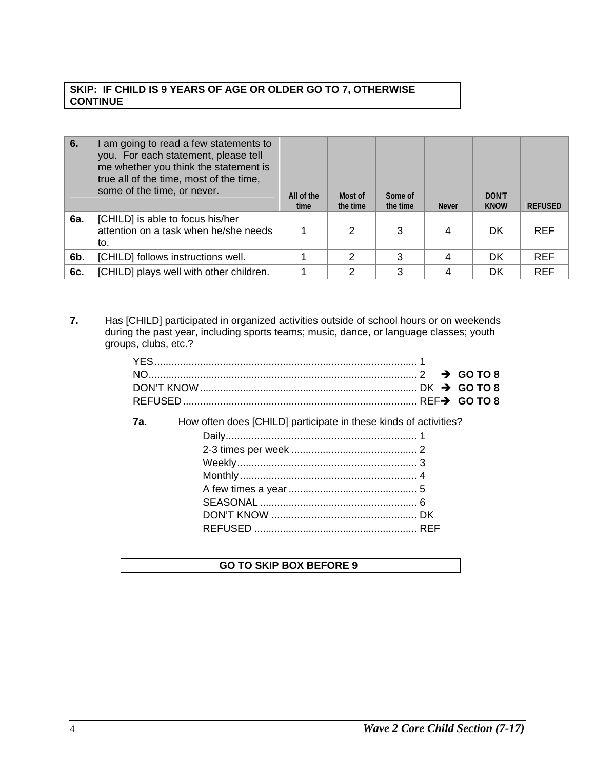#### **SKIP: IF CHILD IS 9 YEARS OF AGE OR OLDER GO TO 7, OTHERWISE CONTINUE**

| 6.  | I am going to read a few statements to<br>you. For each statement, please tell<br>me whether you think the statement is<br>true all of the time, most of the time,<br>some of the time, or never. | All of the<br>time | Most of<br>the time | Some of<br>the time | <b>Never</b> | <b>DON'T</b><br><b>KNOW</b> | <b>REFUSED</b> |
|-----|---------------------------------------------------------------------------------------------------------------------------------------------------------------------------------------------------|--------------------|---------------------|---------------------|--------------|-----------------------------|----------------|
| 6a. | [CHILD] is able to focus his/her<br>attention on a task when he/she needs<br>to.                                                                                                                  |                    | 2                   | 3                   | 4            | DK                          | <b>REF</b>     |
| 6b. | [CHILD] follows instructions well.                                                                                                                                                                |                    | 2                   | 3                   | 4            | DK                          | <b>REF</b>     |
| 6c. | [CHILD] plays well with other children.                                                                                                                                                           |                    | っ                   | 3                   |              | DK                          | <b>REF</b>     |

**7.** Has [CHILD] participated in organized activities outside of school hours or on weekends during the past year, including sports teams; music, dance, or language classes; youth groups, clubs, etc.?

| 7а. | How often does [CHILD] participate in these kinds of activities? |  |  |
|-----|------------------------------------------------------------------|--|--|

#### **GO TO SKIP BOX BEFORE 9**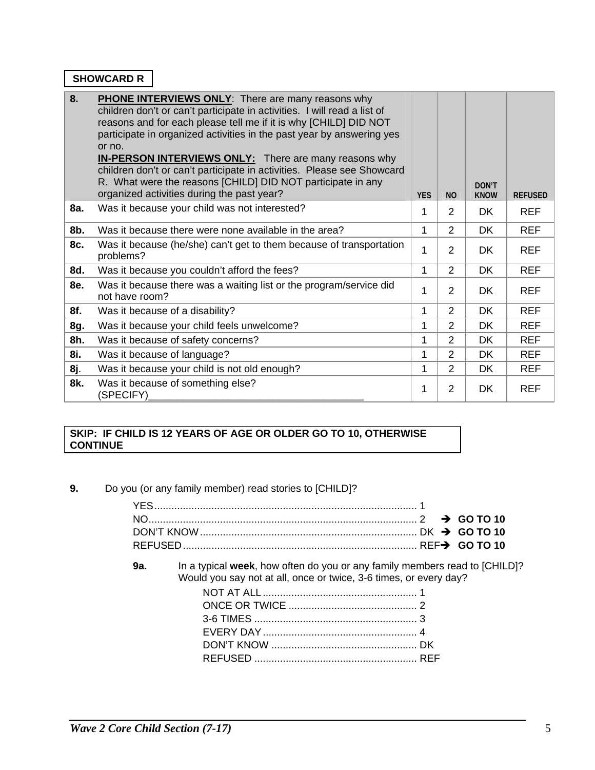**SHOWCARD R** 

| 8.  | <b>PHONE INTERVIEWS ONLY:</b> There are many reasons why<br>children don't or can't participate in activities. I will read a list of<br>reasons and for each please tell me if it is why [CHILD] DID NOT<br>participate in organized activities in the past year by answering yes<br>or no.<br><b>IN-PERSON INTERVIEWS ONLY:</b> There are many reasons why<br>children don't or can't participate in activities. Please see Showcard<br>R. What were the reasons [CHILD] DID NOT participate in any<br>organized activities during the past year? | <b>YES</b>   | N <sub>O</sub> | DON'T<br><b>KNOW</b> | <b>REFUSED</b> |
|-----|----------------------------------------------------------------------------------------------------------------------------------------------------------------------------------------------------------------------------------------------------------------------------------------------------------------------------------------------------------------------------------------------------------------------------------------------------------------------------------------------------------------------------------------------------|--------------|----------------|----------------------|----------------|
| 8a. | Was it because your child was not interested?                                                                                                                                                                                                                                                                                                                                                                                                                                                                                                      | 1            | 2              | DK.                  | <b>REF</b>     |
| 8b. | Was it because there were none available in the area?                                                                                                                                                                                                                                                                                                                                                                                                                                                                                              | $\mathbf{1}$ | $\overline{2}$ | <b>DK</b>            | <b>REF</b>     |
| 8c. | Was it because (he/she) can't get to them because of transportation<br>problems?                                                                                                                                                                                                                                                                                                                                                                                                                                                                   | 1            | 2              | DK                   | <b>REF</b>     |
| 8d. | Was it because you couldn't afford the fees?                                                                                                                                                                                                                                                                                                                                                                                                                                                                                                       | 1            | $\overline{2}$ | DK                   | <b>REF</b>     |
| 8e. | Was it because there was a waiting list or the program/service did<br>not have room?                                                                                                                                                                                                                                                                                                                                                                                                                                                               | 1            | 2              | <b>DK</b>            | <b>REF</b>     |
| 8f. | Was it because of a disability?                                                                                                                                                                                                                                                                                                                                                                                                                                                                                                                    | 1            | $\overline{2}$ | DK                   | <b>REF</b>     |
| 8g. | Was it because your child feels unwelcome?                                                                                                                                                                                                                                                                                                                                                                                                                                                                                                         | 1            | $\overline{2}$ | <b>DK</b>            | <b>REF</b>     |
| 8h. | Was it because of safety concerns?                                                                                                                                                                                                                                                                                                                                                                                                                                                                                                                 | 1            | $\overline{2}$ | <b>DK</b>            | <b>REF</b>     |
| 8i. | Was it because of language?                                                                                                                                                                                                                                                                                                                                                                                                                                                                                                                        | 1            | $\mathcal{P}$  | DK.                  | <b>REF</b>     |
| 8j. | Was it because your child is not old enough?                                                                                                                                                                                                                                                                                                                                                                                                                                                                                                       | 1            | $\overline{2}$ | DK.                  | <b>REF</b>     |
| 8k. | Was it because of something else?<br>(SPECIFY)                                                                                                                                                                                                                                                                                                                                                                                                                                                                                                     | 1            | $\overline{2}$ | DK                   | <b>REF</b>     |

## **SKIP: IF CHILD IS 12 YEARS OF AGE OR OLDER GO TO 10, OTHERWISE CONTINUE**

## **9.** Do you (or any family member) read stories to [CHILD]?

**9a.** In a typical **week**, how often do you or any family members read to [CHILD]? Would you say not at all, once or twice, 3-6 times, or every day?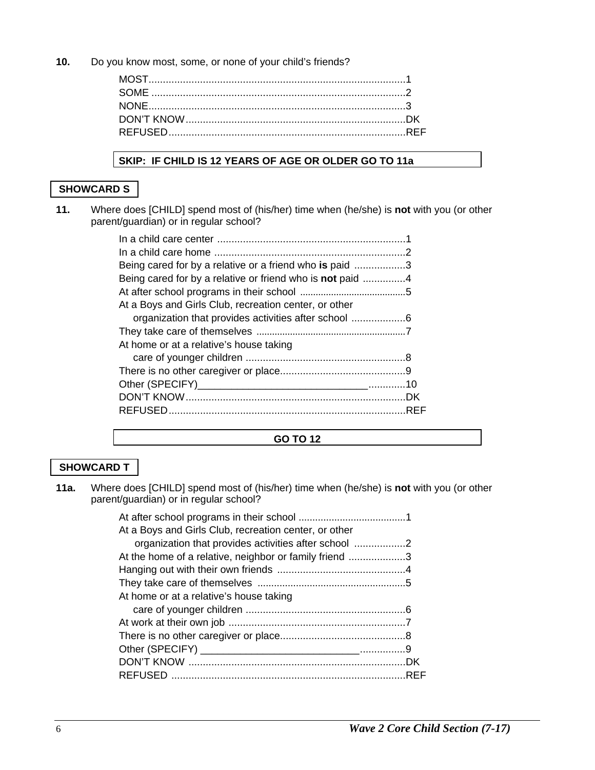**10.** Do you know most, some, or none of your child's friends?

## **SKIP: IF CHILD IS 12 YEARS OF AGE OR OLDER GO TO 11a**

#### **SHOWCARD S**

**11.** Where does [CHILD] spend most of (his/her) time when (he/she) is **not** with you (or other parent/guardian) or in regular school?

| Being cared for by a relative or a friend who is paid 3          |  |
|------------------------------------------------------------------|--|
| Being cared for by a relative or friend who is <b>not</b> paid 4 |  |
|                                                                  |  |
| At a Boys and Girls Club, recreation center, or other            |  |
|                                                                  |  |
|                                                                  |  |
| At home or at a relative's house taking                          |  |
|                                                                  |  |
|                                                                  |  |
|                                                                  |  |
|                                                                  |  |
|                                                                  |  |

#### **GO TO 12**

#### **SHOWCARD T**

**11a.** Where does [CHILD] spend most of (his/her) time when (he/she) is **not** with you (or other parent/guardian) or in regular school?

| At a Boys and Girls Club, recreation center, or other  |  |
|--------------------------------------------------------|--|
| organization that provides activities after school     |  |
| At the home of a relative, neighbor or family friend 3 |  |
|                                                        |  |
|                                                        |  |
| At home or at a relative's house taking                |  |
|                                                        |  |
|                                                        |  |
|                                                        |  |
|                                                        |  |
|                                                        |  |
|                                                        |  |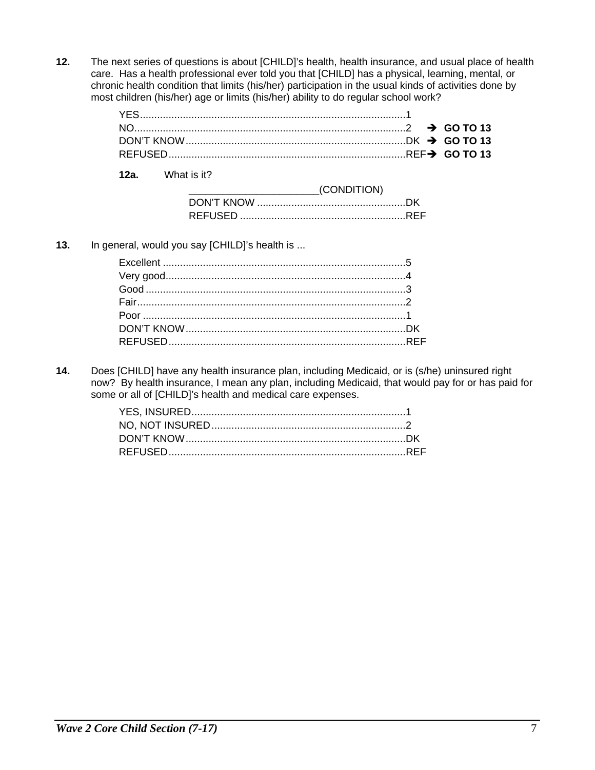$12.$ The next series of questions is about [CHILD]'s health, health insurance, and usual place of health care. Has a health professional ever told you that [CHILD] has a physical, learning, mental, or chronic health condition that limits (his/her) participation in the usual kinds of activities done by most children (his/her) age or limits (his/her) ability to do regular school work?

 $12a.$ What is it?

| (CONDITION) |  |
|-------------|--|
|             |  |
|             |  |

 $(0.011717101)$ 

 $13.$ In general, would you say [CHILD]'s health is ...

 $14.$ Does [CHILD] have any health insurance plan, including Medicaid, or is (s/he) uninsured right now? By health insurance, I mean any plan, including Medicaid, that would pay for or has paid for some or all of [CHILD]'s health and medical care expenses.